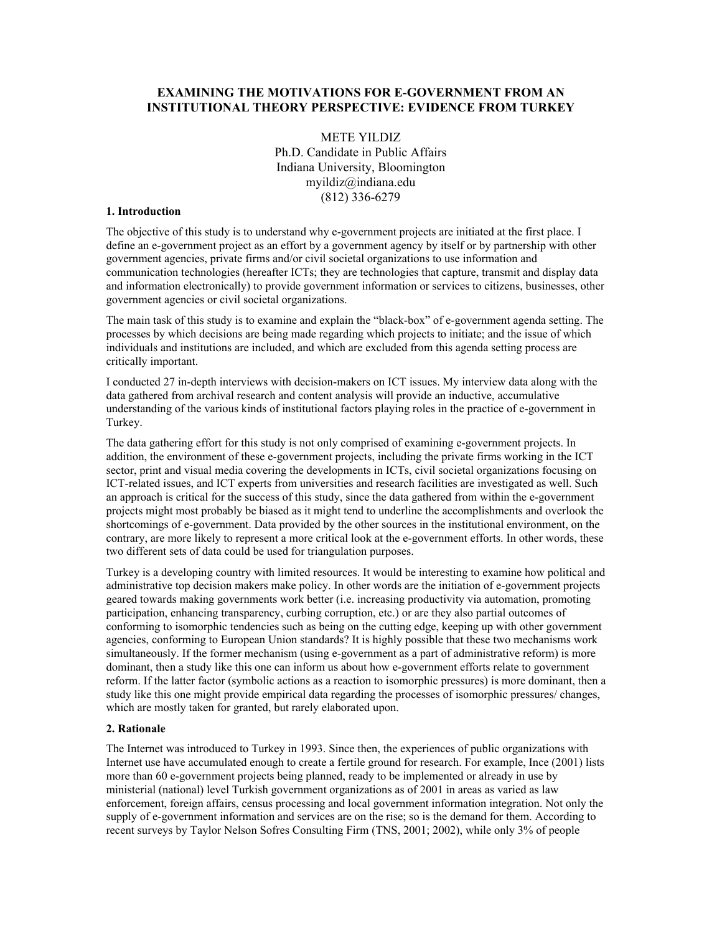# **EXAMINING THE MOTIVATIONS FOR E-GOVERNMENT FROM AN INSTITUTIONAL THEORY PERSPECTIVE: EVIDENCE FROM TURKEY**

METE YILDIZ Ph.D. Candidate in Public Affairs Indiana University, Bloomington myildiz@indiana.edu (812) 336-6279

#### **1. Introduction**

The objective of this study is to understand why e-government projects are initiated at the first place. I define an e-government project as an effort by a government agency by itself or by partnership with other government agencies, private firms and/or civil societal organizations to use information and communication technologies (hereafter ICTs; they are technologies that capture, transmit and display data and information electronically) to provide government information or services to citizens, businesses, other government agencies or civil societal organizations.

The main task of this study is to examine and explain the "black-box" of e-government agenda setting. The processes by which decisions are being made regarding which projects to initiate; and the issue of which individuals and institutions are included, and which are excluded from this agenda setting process are critically important.

I conducted 27 in-depth interviews with decision-makers on ICT issues. My interview data along with the data gathered from archival research and content analysis will provide an inductive, accumulative understanding of the various kinds of institutional factors playing roles in the practice of e-government in Turkey.

The data gathering effort for this study is not only comprised of examining e-government projects. In addition, the environment of these e-government projects, including the private firms working in the ICT sector, print and visual media covering the developments in ICTs, civil societal organizations focusing on ICT-related issues, and ICT experts from universities and research facilities are investigated as well. Such an approach is critical for the success of this study, since the data gathered from within the e-government projects might most probably be biased as it might tend to underline the accomplishments and overlook the shortcomings of e-government. Data provided by the other sources in the institutional environment, on the contrary, are more likely to represent a more critical look at the e-government efforts. In other words, these two different sets of data could be used for triangulation purposes.

Turkey is a developing country with limited resources. It would be interesting to examine how political and administrative top decision makers make policy. In other words are the initiation of e-government projects geared towards making governments work better (i.e. increasing productivity via automation, promoting participation, enhancing transparency, curbing corruption, etc.) or are they also partial outcomes of conforming to isomorphic tendencies such as being on the cutting edge, keeping up with other government agencies, conforming to European Union standards? It is highly possible that these two mechanisms work simultaneously. If the former mechanism (using e-government as a part of administrative reform) is more dominant, then a study like this one can inform us about how e-government efforts relate to government reform. If the latter factor (symbolic actions as a reaction to isomorphic pressures) is more dominant, then a study like this one might provide empirical data regarding the processes of isomorphic pressures/ changes, which are mostly taken for granted, but rarely elaborated upon.

### **2. Rationale**

The Internet was introduced to Turkey in 1993. Since then, the experiences of public organizations with Internet use have accumulated enough to create a fertile ground for research. For example, Ince (2001) lists more than 60 e-government projects being planned, ready to be implemented or already in use by ministerial (national) level Turkish government organizations as of 2001 in areas as varied as law enforcement, foreign affairs, census processing and local government information integration. Not only the supply of e-government information and services are on the rise; so is the demand for them. According to recent surveys by Taylor Nelson Sofres Consulting Firm (TNS, 2001; 2002), while only 3% of people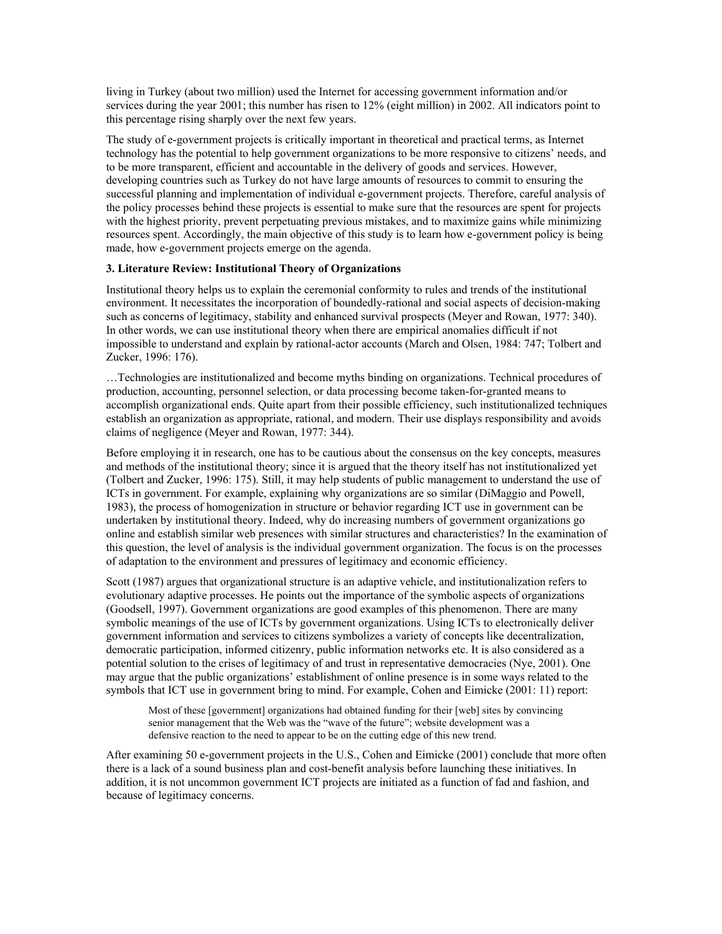living in Turkey (about two million) used the Internet for accessing government information and/or services during the year 2001; this number has risen to 12% (eight million) in 2002. All indicators point to this percentage rising sharply over the next few years.

The study of e-government projects is critically important in theoretical and practical terms, as Internet technology has the potential to help government organizations to be more responsive to citizens' needs, and to be more transparent, efficient and accountable in the delivery of goods and services. However, developing countries such as Turkey do not have large amounts of resources to commit to ensuring the successful planning and implementation of individual e-government projects. Therefore, careful analysis of the policy processes behind these projects is essential to make sure that the resources are spent for projects with the highest priority, prevent perpetuating previous mistakes, and to maximize gains while minimizing resources spent. Accordingly, the main objective of this study is to learn how e-government policy is being made, how e-government projects emerge on the agenda.

# **3. Literature Review: Institutional Theory of Organizations**

Institutional theory helps us to explain the ceremonial conformity to rules and trends of the institutional environment. It necessitates the incorporation of boundedly-rational and social aspects of decision-making such as concerns of legitimacy, stability and enhanced survival prospects (Meyer and Rowan, 1977: 340). In other words, we can use institutional theory when there are empirical anomalies difficult if not impossible to understand and explain by rational-actor accounts (March and Olsen, 1984: 747; Tolbert and Zucker, 1996: 176).

…Technologies are institutionalized and become myths binding on organizations. Technical procedures of production, accounting, personnel selection, or data processing become taken-for-granted means to accomplish organizational ends. Quite apart from their possible efficiency, such institutionalized techniques establish an organization as appropriate, rational, and modern. Their use displays responsibility and avoids claims of negligence (Meyer and Rowan, 1977: 344).

Before employing it in research, one has to be cautious about the consensus on the key concepts, measures and methods of the institutional theory; since it is argued that the theory itself has not institutionalized yet (Tolbert and Zucker, 1996: 175). Still, it may help students of public management to understand the use of ICTs in government. For example, explaining why organizations are so similar (DiMaggio and Powell, 1983), the process of homogenization in structure or behavior regarding ICT use in government can be undertaken by institutional theory. Indeed, why do increasing numbers of government organizations go online and establish similar web presences with similar structures and characteristics? In the examination of this question, the level of analysis is the individual government organization. The focus is on the processes of adaptation to the environment and pressures of legitimacy and economic efficiency.

Scott (1987) argues that organizational structure is an adaptive vehicle, and institutionalization refers to evolutionary adaptive processes. He points out the importance of the symbolic aspects of organizations (Goodsell, 1997). Government organizations are good examples of this phenomenon. There are many symbolic meanings of the use of ICTs by government organizations. Using ICTs to electronically deliver government information and services to citizens symbolizes a variety of concepts like decentralization, democratic participation, informed citizenry, public information networks etc. It is also considered as a potential solution to the crises of legitimacy of and trust in representative democracies (Nye, 2001). One may argue that the public organizations' establishment of online presence is in some ways related to the symbols that ICT use in government bring to mind. For example, Cohen and Eimicke (2001: 11) report:

Most of these [government] organizations had obtained funding for their [web] sites by convincing senior management that the Web was the "wave of the future"; website development was a defensive reaction to the need to appear to be on the cutting edge of this new trend.

After examining 50 e-government projects in the U.S., Cohen and Eimicke (2001) conclude that more often there is a lack of a sound business plan and cost-benefit analysis before launching these initiatives. In addition, it is not uncommon government ICT projects are initiated as a function of fad and fashion, and because of legitimacy concerns.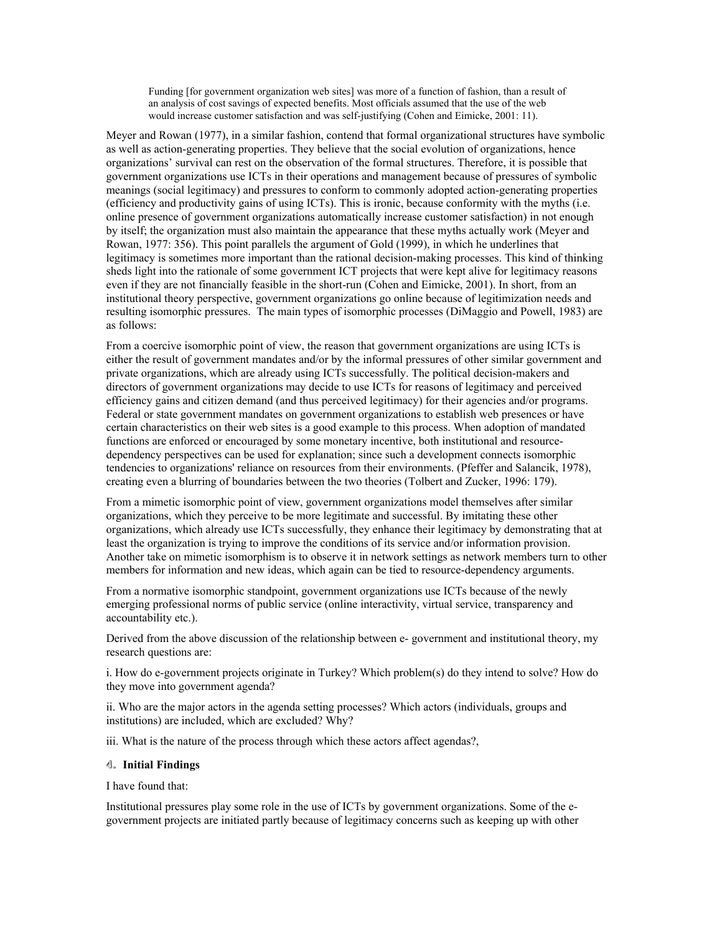Funding [for government organization web sites] was more of a function of fashion, than a result of an analysis of cost savings of expected benefits. Most officials assumed that the use of the web would increase customer satisfaction and was self-justifying (Cohen and Eimicke, 2001: 11).

Meyer and Rowan (1977), in a similar fashion, contend that formal organizational structures have symbolic as well as action-generating properties. They believe that the social evolution of organizations, hence organizations' survival can rest on the observation of the formal structures. Therefore, it is possible that government organizations use ICTs in their operations and management because of pressures of symbolic meanings (social legitimacy) and pressures to conform to commonly adopted action-generating properties (efficiency and productivity gains of using ICTs). This is ironic, because conformity with the myths (i.e. online presence of government organizations automatically increase customer satisfaction) in not enough by itself; the organization must also maintain the appearance that these myths actually work (Meyer and Rowan, 1977: 356). This point parallels the argument of Gold (1999), in which he underlines that legitimacy is sometimes more important than the rational decision-making processes. This kind of thinking sheds light into the rationale of some government ICT projects that were kept alive for legitimacy reasons even if they are not financially feasible in the short-run (Cohen and Eimicke, 2001). In short, from an institutional theory perspective, government organizations go online because of legitimization needs and resulting isomorphic pressures. The main types of isomorphic processes (DiMaggio and Powell, 1983) are as follows:

From a coercive isomorphic point of view, the reason that government organizations are using ICTs is either the result of government mandates and/or by the informal pressures of other similar government and private organizations, which are already using ICTs successfully. The political decision-makers and directors of government organizations may decide to use ICTs for reasons of legitimacy and perceived efficiency gains and citizen demand (and thus perceived legitimacy) for their agencies and/or programs. Federal or state government mandates on government organizations to establish web presences or have certain characteristics on their web sites is a good example to this process. When adoption of mandated functions are enforced or encouraged by some monetary incentive, both institutional and resourcedependency perspectives can be used for explanation; since such a development connects isomorphic tendencies to organizations' reliance on resources from their environments. (Pfeffer and Salancik, 1978), creating even a blurring of boundaries between the two theories (Tolbert and Zucker, 1996: 179).

From a mimetic isomorphic point of view, government organizations model themselves after similar organizations, which they perceive to be more legitimate and successful. By imitating these other organizations, which already use ICTs successfully, they enhance their legitimacy by demonstrating that at least the organization is trying to improve the conditions of its service and/or information provision. Another take on mimetic isomorphism is to observe it in network settings as network members turn to other members for information and new ideas, which again can be tied to resource-dependency arguments.

From a normative isomorphic standpoint, government organizations use ICTs because of the newly emerging professional norms of public service (online interactivity, virtual service, transparency and accountability etc.).

Derived from the above discussion of the relationship between e- government and institutional theory, my research questions are:

i. How do e-government projects originate in Turkey? Which problem(s) do they intend to solve? How do they move into government agenda?

ii. Who are the major actors in the agenda setting processes? Which actors (individuals, groups and institutions) are included, which are excluded? Why?

iii. What is the nature of the process through which these actors affect agendas?,

## **4. Initial Findings**

I have found that:

Institutional pressures play some role in the use of ICTs by government organizations. Some of the egovernment projects are initiated partly because of legitimacy concerns such as keeping up with other